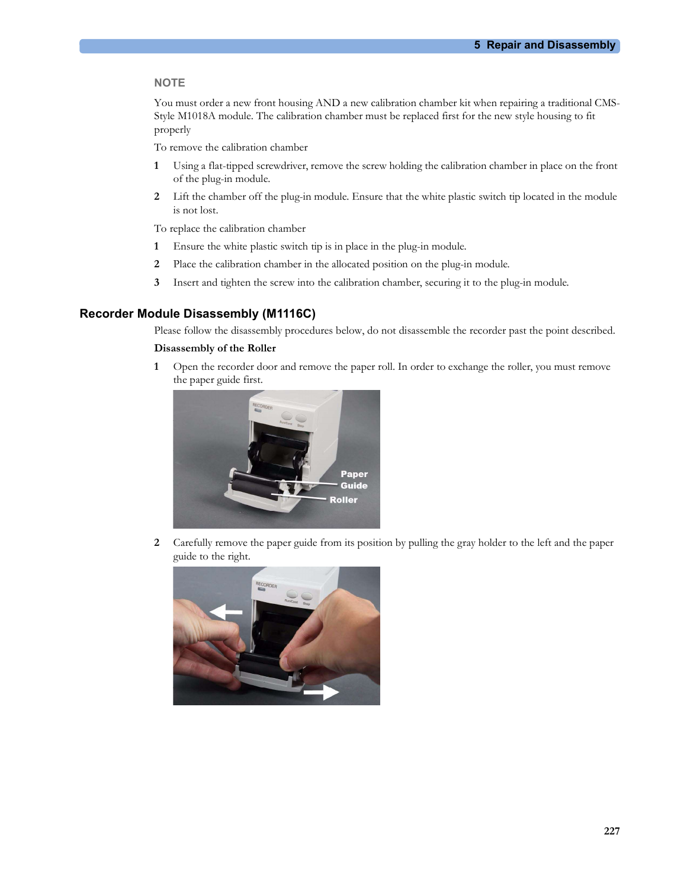#### NOTE **Note** that the second contract of the second contract of the second contract of the second contract of the second contract of the second contract of the second contract of the second contract of the second contract o

**5 Repair and Disassembly**<br>when repairing a traditional CMS-<br>the new style bousing to fit You must order a new front housing AND a new calibration chamber kit when repairing a traditional CMS-Style M1018A module. The calibration chamber must be replaced first for the new style housing to fit properly

To remove the calibration chamber

- 1 Using a flat-tipped screwdriver, remove the screw holding the calibration chamber in place on the front of the plug-in module.
- 2 Lift the chamber off the plug-in module. Ensure that the white plastic switch tip located in the module is not lost.

To replace the calibration chamber

- 1 Ensure the white plastic switch tip is in place in the plug-in module.
- 2 Place the calibration chamber in the allocated position on the plug-in module.
- 3 Insert and tighten the screw into the calibration chamber, securing it to the plug-in module.

## Recorder Module Disassembly (M1116C)

Please follow the disassembly procedures below, do not disassemble the recorder past the point described.

## Disassembly of the Roller

1 Open the recorder door and remove the paper roll. In order to exchange the roller, you must remove the paper guide first.



2 Carefully remove the paper guide from its position by pulling the gray holder to the left and the paper guide to the right.

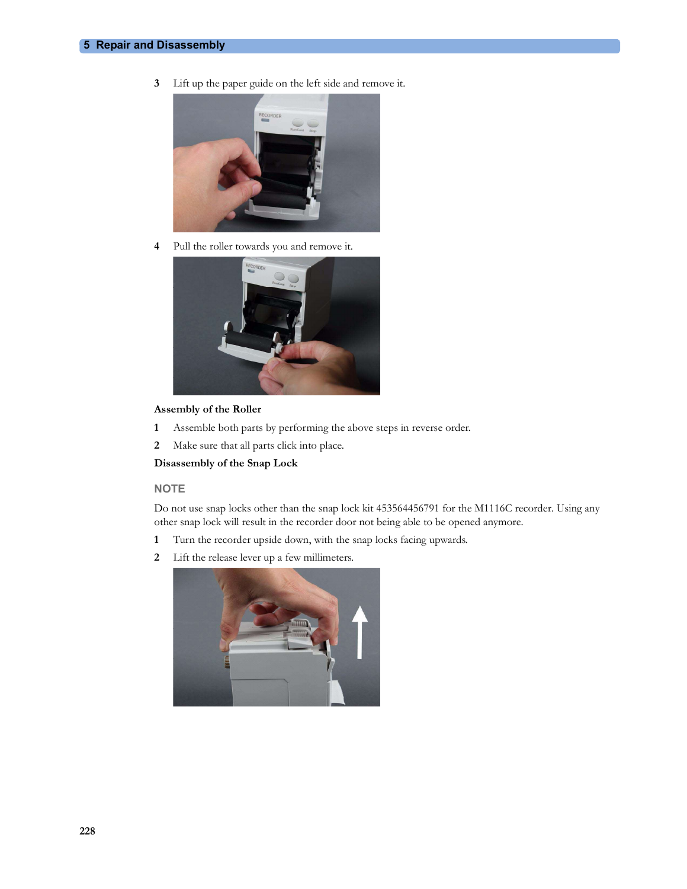3 Lift up the paper guide on the left side and remove it.



4 Pull the roller towards you and remove it.



## Assembly of the Roller

- 1 Assemble both parts by performing the above steps in reverse order.
- 2 Make sure that all parts click into place.

Disassembly of the Snap Lock

#### **NOTE**

Do not use snap locks other than the snap lock kit 453564456791 for the M1116C recorder. Using any other snap lock will result in the recorder door not being able to be opened anymore.

- 1 Turn the recorder upside down, with the snap locks facing upwards.
- 2 Lift the release lever up a few millimeters.